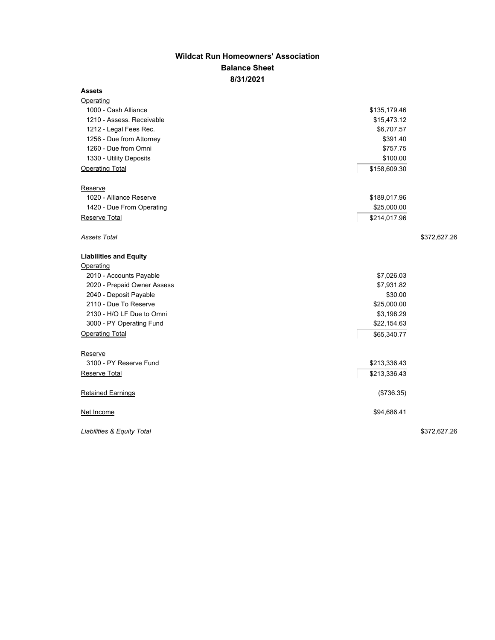## **Wildcat Run Homeowners' Association Balance Sheet 8/31/2021**

## **Assets**

| <b>Operating</b>              |              |  |
|-------------------------------|--------------|--|
| 1000 - Cash Alliance          | \$135,179.46 |  |
| 1210 - Assess. Receivable     | \$15,473.12  |  |
| 1212 - Legal Fees Rec.        | \$6,707.57   |  |
| 1256 - Due from Attorney      | \$391.40     |  |
| 1260 - Due from Omni          | \$757.75     |  |
| 1330 - Utility Deposits       | \$100.00     |  |
| <b>Operating Total</b>        | \$158,609.30 |  |
| Reserve                       |              |  |
| 1020 - Alliance Reserve       | \$189,017.96 |  |
| 1420 - Due From Operating     | \$25,000.00  |  |
| Reserve Total                 | \$214,017.96 |  |
| Assets Total                  | \$372,627.26 |  |
| <b>Liabilities and Equity</b> |              |  |
| Operating                     |              |  |
| 2010 - Accounts Payable       | \$7,026.03   |  |
| 2020 - Prepaid Owner Assess   | \$7,931.82   |  |
| 2040 - Deposit Payable        | \$30.00      |  |
| 2110 - Due To Reserve         | \$25,000.00  |  |
| 2130 - H/O LF Due to Omni     | \$3,198.29   |  |
| 3000 - PY Operating Fund      | \$22,154.63  |  |
| <b>Operating Total</b>        | \$65,340.77  |  |
| Reserve                       |              |  |
| 3100 - PY Reserve Fund        | \$213,336.43 |  |
| Reserve Total                 | \$213,336.43 |  |
| <b>Retained Earnings</b>      | (\$736.35)   |  |
| Net Income                    | \$94,686.41  |  |
| Liabilities & Equity Total    | \$372,627.26 |  |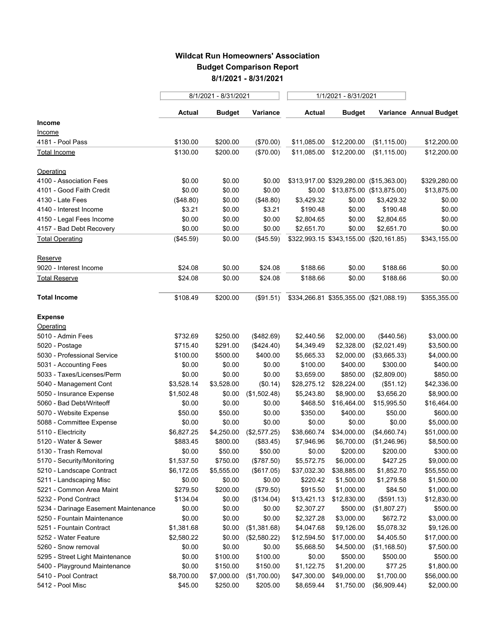## **Wildcat Run Homeowners' Association Budget Comparison Report 8/1/2021 - 8/31/2021**

|                                      | 8/1/2021 - 8/31/2021 |               |              | 1/1/2021 - 8/31/2021 |                                         |              |                        |
|--------------------------------------|----------------------|---------------|--------------|----------------------|-----------------------------------------|--------------|------------------------|
|                                      | Actual               | <b>Budget</b> | Variance     | Actual               | <b>Budget</b>                           |              | Variance Annual Budget |
| Income                               |                      |               |              |                      |                                         |              |                        |
| Income                               |                      |               |              |                      |                                         |              |                        |
| 4181 - Pool Pass                     | \$130.00             | \$200.00      | (\$70.00)    | \$11,085.00          | \$12,200.00                             | (\$1,115.00) | \$12,200.00            |
| Total Income                         | \$130.00             | \$200.00      | (\$70.00)    | \$11,085.00          | \$12,200.00                             | (\$1,115.00) | \$12,200.00            |
| Operating                            |                      |               |              |                      |                                         |              |                        |
| 4100 - Association Fees              | \$0.00               | \$0.00        | \$0.00       |                      | \$313,917.00 \$329,280.00 (\$15,363.00) |              | \$329,280.00           |
| 4101 - Good Faith Credit             | \$0.00               | \$0.00        | \$0.00       |                      | \$0.00 \$13,875.00 (\$13,875.00)        |              | \$13,875.00            |
| 4130 - Late Fees                     | (\$48.80)            | \$0.00        | (\$48.80)    | \$3,429.32           | \$0.00                                  | \$3,429.32   | \$0.00                 |
| 4140 - Interest Income               | \$3.21               | \$0.00        | \$3.21       | \$190.48             | \$0.00                                  | \$190.48     | \$0.00                 |
| 4150 - Legal Fees Income             | \$0.00               | \$0.00        | \$0.00       | \$2,804.65           | \$0.00                                  | \$2,804.65   | \$0.00                 |
| 4157 - Bad Debt Recovery             | \$0.00               | \$0.00        | \$0.00       | \$2,651.70           | \$0.00                                  | \$2,651.70   | \$0.00                 |
| <b>Total Operating</b>               | (\$45.59)            | \$0.00        | (\$45.59)    |                      | \$322,993.15 \$343,155.00 (\$20,161.85) |              | \$343,155.00           |
| Reserve                              |                      |               |              |                      |                                         |              |                        |
| 9020 - Interest Income               | \$24.08              | \$0.00        | \$24.08      | \$188.66             | \$0.00                                  | \$188.66     | \$0.00                 |
| <b>Total Reserve</b>                 | \$24.08              | \$0.00        | \$24.08      | \$188.66             | \$0.00                                  | \$188.66     | \$0.00                 |
| <b>Total Income</b>                  | \$108.49             | \$200.00      | (\$91.51)    |                      | \$334,266.81 \$355,355.00 (\$21,088.19) |              | \$355,355.00           |
| <b>Expense</b>                       |                      |               |              |                      |                                         |              |                        |
| Operating                            |                      |               |              |                      |                                         |              |                        |
| 5010 - Admin Fees                    | \$732.69             | \$250.00      | (\$482.69)   | \$2,440.56           | \$2,000.00                              | (\$440.56)   | \$3,000.00             |
| 5020 - Postage                       | \$715.40             | \$291.00      | (\$424.40)   | \$4,349.49           | \$2,328.00                              | (\$2,021.49) | \$3,500.00             |
| 5030 - Professional Service          | \$100.00             | \$500.00      | \$400.00     | \$5,665.33           | \$2,000.00                              | (\$3,665.33) | \$4,000.00             |
| 5031 - Accounting Fees               | \$0.00               | \$0.00        | \$0.00       | \$100.00             | \$400.00                                | \$300.00     | \$400.00               |
| 5033 - Taxes/Licenses/Perm           | \$0.00               | \$0.00        | \$0.00       | \$3,659.00           | \$850.00                                | (\$2,809.00) | \$850.00               |
| 5040 - Management Cont               | \$3,528.14           | \$3,528.00    | (\$0.14)     | \$28,275.12          | \$28,224.00                             | (\$51.12)    | \$42,336.00            |
| 5050 - Insurance Expense             | \$1,502.48           | \$0.00        | (\$1,502.48) | \$5,243.80           | \$8,900.00                              | \$3,656.20   | \$8,900.00             |
| 5060 - Bad Debt/Writeoff             | \$0.00               | \$0.00        | \$0.00       | \$468.50             | \$16,464.00                             | \$15,995.50  | \$16,464.00            |
| 5070 - Website Expense               | \$50.00              | \$50.00       | \$0.00       | \$350.00             | \$400.00                                | \$50.00      | \$600.00               |
| 5088 - Committee Expense             | \$0.00               | \$0.00        | \$0.00       | \$0.00               | \$0.00                                  | \$0.00       | \$5,000.00             |
| 5110 - Electricity                   | \$6,827.25           | \$4,250.00    | (\$2,577.25) | \$38,660.74          | \$34,000.00                             | (\$4,660.74) | \$51,000.00            |
| 5120 - Water & Sewer                 | \$883.45             | \$800.00      | (\$83.45)    | \$7,946.96           | \$6,700.00                              | (\$1,246.96) | \$8,500.00             |
| 5130 - Trash Removal                 | \$0.00               | \$50.00       | \$50.00      | \$0.00               | \$200.00                                | \$200.00     | \$300.00               |
| 5170 - Security/Monitoring           | \$1,537.50           | \$750.00      | (\$787.50)   | \$5,572.75           | \$6,000.00                              | \$427.25     | \$9,000.00             |
| 5210 - Landscape Contract            | \$6,172.05           | \$5,555.00    | (\$617.05)   | \$37,032.30          | \$38,885.00                             | \$1,852.70   | \$55,550.00            |
| 5211 - Landscaping Misc              | \$0.00               | \$0.00        | \$0.00       | \$220.42             | \$1,500.00                              | \$1,279.58   | \$1,500.00             |
| 5221 - Common Area Maint             | \$279.50             | \$200.00      | (\$79.50)    | \$915.50             | \$1,000.00                              | \$84.50      | \$1,000.00             |
| 5232 - Pond Contract                 | \$134.04             | \$0.00        | (\$134.04)   | \$13,421.13          | \$12,830.00                             | (\$591.13)   | \$12,830.00            |
| 5234 - Darinage Easement Maintenance | \$0.00               | \$0.00        | \$0.00       | \$2,307.27           | \$500.00                                | (\$1,807.27) | \$500.00               |
| 5250 - Fountain Maintenance          | \$0.00               | \$0.00        | \$0.00       | \$2,327.28           | \$3,000.00                              | \$672.72     | \$3,000.00             |
| 5251 - Fountain Contract             | \$1,381.68           | \$0.00        | (\$1,381.68) | \$4,047.68           | \$9,126.00                              | \$5,078.32   | \$9,126.00             |
| 5252 - Water Feature                 | \$2,580.22           | \$0.00        | (\$2,580.22) | \$12,594.50          | \$17,000.00                             | \$4,405.50   | \$17,000.00            |
| 5260 - Snow removal                  | \$0.00               | \$0.00        | \$0.00       | \$5,668.50           | \$4,500.00                              | (\$1,168.50) | \$7,500.00             |
| 5295 - Street Light Maintenance      | \$0.00               | \$100.00      | \$100.00     | \$0.00               | \$500.00                                | \$500.00     | \$500.00               |
| 5400 - Playground Maintenance        | \$0.00               | \$150.00      | \$150.00     | \$1,122.75           | \$1,200.00                              | \$77.25      | \$1,800.00             |
| 5410 - Pool Contract                 | \$8,700.00           | \$7,000.00    | (\$1,700.00) | \$47,300.00          | \$49,000.00                             | \$1,700.00   | \$56,000.00            |
| 5412 - Pool Misc                     | \$45.00              | \$250.00      | \$205.00     | \$8,659.44           | \$1,750.00                              | (\$6,909.44) | \$2,000.00             |